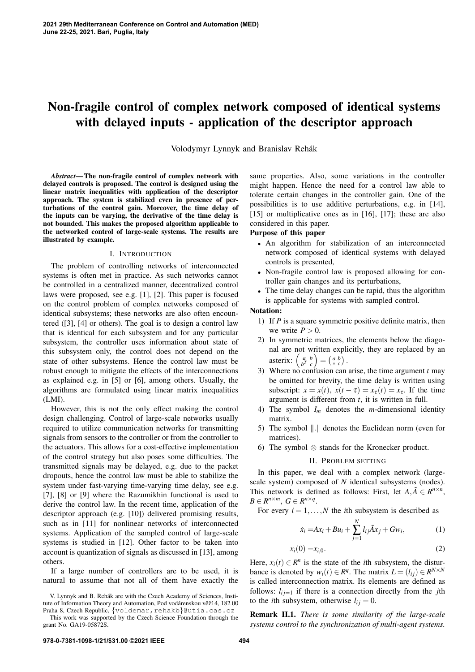# Non-fragile control of complex network composed of identical systems with delayed inputs - application of the descriptor approach

Volodymyr Lynnyk and Branislav Rehák

*Abstract*— The non-fragile control of complex network with delayed controls is proposed. The control is designed using the linear matrix inequalities with application of the descriptor approach. The system is stabilized even in presence of perturbations of the control gain. Moreover, the time delay of the inputs can be varying, the derivative of the time delay is not bounded. This makes the proposed algorithm applicable to the networked control of large-scale systems. The results are illustrated by example.

#### I. INTRODUCTION

The problem of controlling networks of interconnected systems is often met in practice. As such networks cannot be controlled in a centralized manner, decentralized control laws were proposed, see e.g. [1], [2]. This paper is focused on the control problem of complex networks composed of identical subsystems; these networks are also often encountered ([3], [4] or others). The goal is to design a control law that is identical for each subsystem and for any particular subsystem, the controller uses information about state of this subsystem only, the control does not depend on the state of other subsystems. Hence the control law must be robust enough to mitigate the effects of the interconnections as explained e.g. in [5] or [6], among others. Usually, the algorithms are formulated using linear matrix inequalities (LMI).

However, this is not the only effect making the control design challenging. Control of large-scale networks usually required to utilize communication networks for transmitting signals from sensors to the controller or from the controller to the actuators. This allows for a cost-effective implementation of the control strategy but also poses some difficulties. The transmitted signals may be delayed, e.g. due to the packet dropouts, hence the control law must be able to stabilize the system under fast-varying time-varying time delay, see e.g. [7], [8] or [9] where the Razumikhin functional is used to derive the control law. In the recent time, application of the descriptor approach (e.g. [10]) delivered promising results, such as in [11] for nonlinear networks of interconnected systems. Application of the sampled control of large-scale systems is studied in [12]. Other factor to be taken into account is quantization of signals as discussed in [13], among others.

If a large number of controllers are to be used, it is natural to assume that not all of them have exactly the

same properties. Also, some variations in the controller might happen. Hence the need for a control law able to tolerate certain changes in the controller gain. One of the possibilities is to use additive perturbations, e.g. in [14], [15] or multiplicative ones as in [16], [17]; these are also considered in this paper.

## Purpose of this paper

- An algorithm for stabilization of an interconnected network composed of identical systems with delayed controls is presented,
- Non-fragile control law is proposed allowing for controller gain changes and its perturbations,
- The time delay changes can be rapid, thus the algorithm is applicable for systems with sampled control.

# Notation:

- 1) If *P* is a square symmetric positive definite matrix, then we write  $P > 0$ .
- 2) In symmetric matrices, the elements below the diagonal are not written explicitly, they are replaced by an asterix:  $\begin{pmatrix} a & b \\ b^T & c \end{pmatrix}$  $\begin{pmatrix} a & b \\ b^T & c \end{pmatrix} = \begin{pmatrix} a & b \\ * & c \end{pmatrix}.$
- 3) Where no confusion can arise, the time argument *t* may be omitted for brevity, the time delay is written using subscript:  $x = x(t)$ ,  $x(t - \tau) = x_{\tau}(t) = x_{\tau}$ . If the time argument is different from *t*, it is written in full.
- 4) The symbol  $I_m$  denotes the *m*-dimensional identity matrix.
- 5) The symbol  $\Vert . \Vert$  denotes the Euclidean norm (even for matrices).
- 6) The symbol ⊗ stands for the Kronecker product.

#### II. PROBLEM SETTING

In this paper, we deal with a complex network (largescale system) composed of *N* identical subsystems (nodes). This network is defined as follows: First, let  $A, \tilde{A} \in R^{n \times n}$ ,  $B \in R^{n \times m}$ ,  $G \in R^{n \times q}$ .

For every  $i = 1, ..., N$  the *i*th subsystem is described as

$$
\dot{x}_i = Ax_i + Bu_i + \sum_{j=1}^N l_{ij} \tilde{A} x_j + Gw_i, \qquad (1)
$$

$$
x_i(0) = x_{i,0}.\tag{2}
$$

Here,  $x_i(t) \in R^n$  is the state of the *i*th subsystem, the disturbance is denoted by  $w_i(t) \in R^q$ . The matrix  $L = (l_{ij}) \in R^{N \times N}$ is called interconnection matrix. Its elements are defined as follows:  $l_{ij=1}$  if there is a connection directly from the *j*th to the *i*th subsystem, otherwise  $l_{ij} = 0$ .

Remark II.1. *There is some similarity of the large-scale systems control to the synchronization of multi-agent systems.*

V. Lynnyk and B. Rehák are with the Czech Academy of Sciences, Institute of Information Theory and Automation, Pod vodárenskou věží 4, 182 00 Praha 8, Czech Republic, {voldemar, rehakb}@utia.cas.cz This work was supported by the Czech Science Foundation through the grant No. GA19-05872S.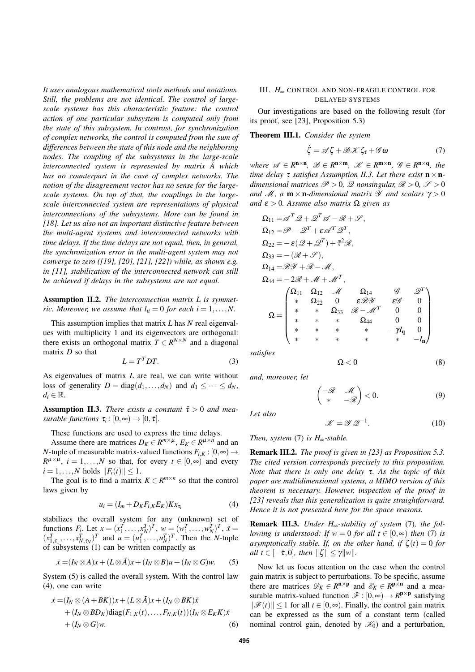*It uses analogous mathematical tools methods and notations. Still, the problems are not identical. The control of largescale systems has this characteristic feature: the control action of one particular subsystem is computed only from the state of this subsystem. In contrast, for synchronization of complex networks, the control is computed from the sum of differences between the state of this node and the neighboring nodes. The coupling of the subsystems in the large-scale interconnected system is represented by matrix*  $\tilde{A}$  which *has no counterpart in the case of complex networks. The notion of the disagreement vector has no sense for the largescale systems. On top of that, the couplings in the largescale interconnected system are representations of physical interconnections of the subsystems. More can be found in [18]. Let us also not an important distinctive feature between the multi-agent systems and interconnected networks with time delays. If the time delays are not equal, then, in general, the synchronization error in the multi-agent system may not converge to zero ([19], [20], [21], [22]) while, as shown e.g. in [11], stabilization of the interconnected network can still be achieved if delays in the subsystems are not equal.*

Assumption II.2. *The interconnection matrix L is symmetric. Moreover, we assume that*  $l_{ii} = 0$  *for each*  $i = 1, \ldots, N$ .

This assumption implies that matrix *L* has *N* real eigenvalues with multiplicity 1 and its eigenvectors are orthogonal: there exists an orthogonal matrix  $T \in R^{N \times N}$  and a diagonal matrix *D* so that

$$
L = T^T D T. \tag{3}
$$

As eigenvalues of matrix *L* are real, we can write without loss of generality  $D = diag(d_1, ..., d_N)$  and  $d_1 \le ... \le d_N$ ,  $d_i \in \mathbb{R}$ .

Assumption II.3. *There exists a constant*  $\bar{\tau} > 0$  *and measurable functions*  $\tau_i : [0, \infty) \to [0, \overline{\tau}].$ 

These functions are used to express the time delays.

Assume there are matrices  $D_K \in R^{m \times \mu}$ ,  $E_K \in R^{\mu \times n}$  and an *N*-tuple of measurable matrix-valued functions  $F_{i,K}$ : [0,∞) →  $R^{\mu \times \mu}$ ,  $i = 1,...,N$  so that, for every  $t \in [0,\infty)$  and every  $i = 1, ..., N$  holds  $||F_i(t)|| \leq 1$ .

The goal is to find a matrix  $K \in \mathbb{R}^{m \times n}$  so that the control laws given by

$$
u_i = (I_m + D_K F_{i,K} E_K) K x_{\tau_i}
$$
 (4)

stabilizes the overall system for any (unknown) set of functions  $F_i$ . Let  $x = (x_1^T, \ldots, x_N^T)^T$ ,  $w = (w_1^T, \ldots, w_N^T)^T$ ,  $\tilde{x} =$  $(x_{1,\tau_1}^T, ..., x_{N,\tau_N}^T)^T$  and  $u = (u_1^T, ..., u_N^T)^T$ . Then the *N*-tuple of subsystems  $(1)$  can be written compactly as

$$
\dot{x} = (I_N \otimes A)x + (L \otimes \tilde{A})x + (I_N \otimes B)u + (I_N \otimes G)w.
$$
 (5)

System (5) is called the overall system. With the control law (4), one can write

$$
\dot{x} = (I_N \otimes (A + BK))x + (L \otimes \tilde{A})x + (I_N \otimes BK)\tilde{x} \n+ (I_N \otimes BD_K)diag(F_{1,K}(t),...,F_{N,K}(t))(I_N \otimes E_KK)\tilde{x} \n+ (I_N \otimes G)w.
$$
\n(6)

# III. *H*<sup>∞</sup> CONTROL AND NON-FRAGILE CONTROL FOR DELAYED SYSTEMS

Our investigations are based on the following result (for its proof, see [23], Proposition 5.3)

Theorem III.1. *Consider the system*

$$
\dot{\zeta} = \mathscr{A}\,\zeta + \mathscr{B}\,\mathscr{K}\,\zeta_{\tau} + \mathscr{G}\,\omega\tag{7}
$$

*where*  $\mathscr{A} \in R^{n \times n}$ ,  $\mathscr{B} \in R^{n \times m}$ ,  $\mathscr{K} \in R^{m \times n}$ ,  $\mathscr{G} \in R^{n \times q}$ , the *time delay* τ *satisfies Assumption II.3. Let there exist* n×n*dimensional matrices*  $\mathcal{P} > 0$ ,  $\mathcal{Q}$  *nonsingular,*  $\mathcal{R} > 0$ ,  $\mathcal{S} > 0$ *and M*, *a* **m**  $\times$  **n**-dimensional matrix *Y* and scalars  $\gamma > 0$ *and*  $\varepsilon > 0$ *. Assume also matrix*  $\Omega$  *given as* 

$$
\Omega_{11} = \mathscr{A}^T \mathscr{Q} + \mathscr{Q}^T \mathscr{A} - \mathscr{R} + \mathscr{S},
$$
\n
$$
\Omega_{12} = \mathscr{P} - \mathscr{Q}^T + \varepsilon \mathscr{A}^T \mathscr{Q}^T,
$$
\n
$$
\Omega_{22} = -\varepsilon (\mathscr{Q} + \mathscr{Q}^T) + \overline{\tau}^2 \mathscr{R},
$$
\n
$$
\Omega_{33} = -(\mathscr{R} + \mathscr{S}),
$$
\n
$$
\Omega_{14} = \mathscr{B} \mathscr{Y} + \mathscr{R} - \mathscr{M},
$$
\n
$$
\Omega_{44} = -2\mathscr{R} + \mathscr{M} + \mathscr{M}^T,
$$
\n
$$
\Omega_{44} = -2\mathscr{R} + \mathscr{M} + \mathscr{M}^T,
$$
\n
$$
\Omega = \begin{pmatrix}\n\Omega_{11} & \Omega_{12} & \mathscr{M} & \Omega_{14} & \mathscr{G} & \mathscr{Q}^T \\
\ast & \Omega_{22} & 0 & \varepsilon \mathscr{B} \mathscr{Y} & \varepsilon \mathscr{G} & 0 \\
\ast & \ast & \Omega_{33} & \mathscr{R} - \mathscr{M}^T & 0 & 0 \\
\ast & \ast & \ast & \Omega_{44} & 0 & 0 \\
\ast & \ast & \ast & \ast & -\gamma I_{\mathbf{q}} & 0\n\end{pmatrix}
$$

 $* \t * \t \Omega_{44} \t 0 \t 0$ ∗ ∗ ∗ ∗ −γ*I*<sup>q</sup> 0 ∗ ∗ ∗ ∗ ∗ −*I*<sup>n</sup>

*satisfies*

*and, moreover, let*

$$
\begin{pmatrix} -\mathcal{R} & \mathcal{M} \\ * & -\mathcal{R} \end{pmatrix} < 0. \tag{9}
$$

 $\Omega < 0$  (8)

 $\setminus$ 

 $\begin{array}{c} \hline \end{array}$ 

*Let also*

$$
\mathcal{K} = \mathcal{Y} \mathcal{Q}^{-1}.
$$
 (10)

*Then, system* (7) *is H*∞*-stable.*

Remark III.2. *The proof is given in [23] as Proposition 5.3. The cited version corresponds precisely to this proposition. Note that there is only one delay* τ*. As the topic of this paper are multidimensional systems, a MIMO version of this theorem is necessary. However, inspection of the proof in [23] reveals that this generalization is quite straightforward. Hence it is not presented here for the space reasons.*

Remark III.3. *Under H*∞*-stability of system* (7)*, the following is understood: If*  $w = 0$  *for all*  $t \in [0, \infty)$  *then* (7) *is asymptotically stable. If, on the other hand, if*  $\zeta(t) = 0$  *for all*  $t \in [-\bar{\tau}, 0]$ *, then*  $\|\zeta\| \leq \gamma \|w\|$ *.* 

Now let us focus attention on the case when the control gain matrix is subject to perturbations. To be specific, assume there are matrices  $\mathcal{D}_K \in R^{\mathbf{n} \times \mathbf{p}}$  and  $\mathcal{E}_K \in R^{\mathbf{p} \times \mathbf{n}}$  and a measurable matrix-valued function  $\mathscr{F} : [0, \infty) \to R^{p \times p}$  satisfying  $\|\mathscr{F}(t)\|$  ≤ 1 for all  $t \in [0, \infty)$ . Finally, the control gain matrix can be expressed as the sum of a constant term (called nominal control gain, denoted by  $\mathcal{K}_0$  and a perturbation,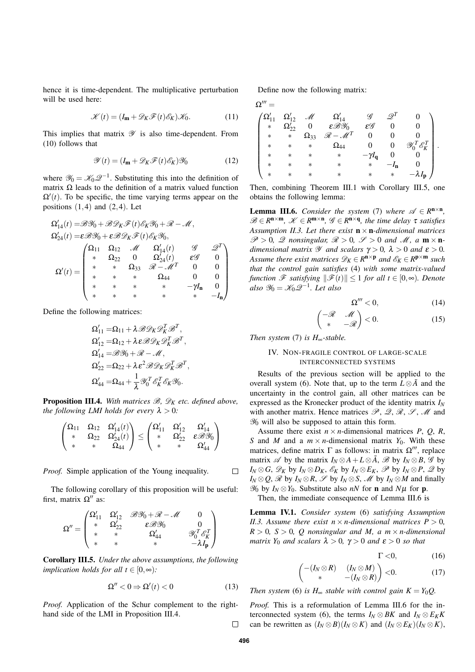hence it is time-dependent. The multiplicative perturbation will be used here:

$$
\mathcal{K}(t) = (I_{\mathbf{m}} + \mathcal{D}_K \mathcal{F}(t)\mathcal{E}_K)\mathcal{K}_0.
$$
 (11)

This implies that matrix  $\mathscr Y$  is also time-dependent. From (10) follows that

$$
\mathscr{Y}(t) = (I_{\mathbf{m}} + \mathscr{D}_K \mathscr{F}(t) \mathscr{E}_K) \mathscr{Y}_0 \tag{12}
$$

where  $\mathcal{Y}_0 = \mathcal{K}_0 \mathcal{Q}^{-1}$ . Substituting this into the definition of matrix Ω leads to the definition of a matrix valued function  $\Omega'(t)$ . To be specific, the time varying terms appear on the positions  $(1,4)$  and  $(2,4)$ . Let

$$
\begin{aligned} \Omega'_{14}(t)=&\mathcal{B}\mathcal{Y}_0+\mathcal{B}\mathcal{D}_K\mathcal{F}(t)\mathcal{E}_K\mathcal{Y}_0+\mathcal{R}-\mathcal{M}\,,\\ \Omega'_{24}(t)=&\mathcal{E}\mathcal{B}\mathcal{Y}_0+\mathcal{E}\mathcal{B}\mathcal{D}_K\mathcal{F}(t)\mathcal{E}_K\mathcal{Y}_0,\\ &\left\{\begin{matrix} \Omega_{11} & \Omega_{12} & \mathcal{M} & \Omega'_{14}(t) & \mathcal{G} & \mathcal{Q}^T \\ * & \Omega_{22} & 0 & \Omega'_{24}(t) & \mathcal{E}\mathcal{G} & 0 \\ * & * & \Omega_{33} & \mathcal{R}-\mathcal{M}^T & 0 & 0 \\ * & * & * & \Omega_{44} & 0 & 0 \\ * & * & * & * & -\mathcal{V}_\mathbf{In} & 0 \\ * & * & * & * & * & -I_\mathbf{n} \end{matrix}\right)\end{aligned}
$$

Define the following matrices:

$$
\begin{aligned} \Omega'_{11}=&\Omega_{11}+\lambda\mathcal{B}\mathcal{D}_K\mathcal{D}_K^T\mathcal{B}^T,\\ \Omega'_{12}=&\Omega_{12}+\lambda\mathcal{E}\mathcal{B}\mathcal{D}_K\mathcal{D}_K^T\mathcal{B}^T,\\ \Omega'_{14}=&\mathcal{B}\mathcal{Y}_0+\mathcal{R}-\mathcal{M}\,,\\ \Omega'_{22}=&\Omega_{22}+\lambda\mathcal{E}^2\mathcal{B}\mathcal{D}_K\mathcal{D}_K^T\mathcal{B}^T,\\ \Omega'_{44}=&\Omega_{44}+\frac{1}{\lambda}\mathcal{Y}_0^T\mathcal{E}_K^T\mathcal{E}_K\mathcal{Y}_0. \end{aligned}
$$

**Proposition III.4.** With matrices  $\mathcal{B}$ ,  $\mathcal{D}_K$  etc. defined above, *the following LMI holds for every*  $\lambda > 0$ *:* 

$$
\begin{pmatrix} \Omega_{11} & \Omega_{12} & \Omega_{14}'(t) \\ * & \Omega_{22} & \Omega_{24}'(t) \\ * & * & \Omega_{44} \end{pmatrix} \leq \begin{pmatrix} \Omega_{11}' & \Omega_{12}' & \Omega_{14}' \\ * & \Omega_{22}' & \epsilon \mathscr{B} \mathscr{Y}_0 \\ * & * & \Omega_{44}' \end{pmatrix}
$$

*Proof.* Simple application of the Young inequality.

The following corollary of this proposition will be useful: first, matrix  $Ω''$  as:

$$
\Omega''=\begin{pmatrix}\Omega'_{11}&\Omega'_{12}&\mathscr{B}\mathscr{Y}_0+\mathscr{R}-\mathscr{M}&0\\ * &\Omega'_{22}&\mathfrak{E}\mathscr{B}\mathscr{Y}_0&0\\ * & * &\Omega'_{44}&\mathscr{Y}_0^T\mathscr{E}_K^T\\ * & * & * & -\lambda I_{\mathbf{p}}\end{pmatrix}
$$

Corollary III.5. *Under the above assumptions, the following implication holds for all t* ∈ [0, $\infty$ )*:* 

$$
\Omega'' < 0 \Rightarrow \Omega'(t) < 0 \tag{13}
$$

*Proof.* Application of the Schur complement to the righthand side of the LMI in Proposition III.4.

Define now the following matrix:

Ω <sup>000</sup> = Ω0 <sup>11</sup> Ω<sup>0</sup> <sup>12</sup> M Ω<sup>0</sup> <sup>14</sup> G Q*<sup>T</sup>* 0 ∗ Ω<sup>0</sup> <sup>22</sup> 0 εBY<sup>0</sup> εG 0 0 ∗ ∗ Ω<sup>33</sup> R −M*<sup>T</sup>* 0 0 0 ∗ ∗ ∗ Ω<sup>44</sup> 0 0 Y *T* 0 E *T K* ∗ ∗ ∗ ∗ −γ*I*<sup>q</sup> 0 0 ∗ ∗ ∗ ∗ ∗ −*I*<sup>n</sup> 0 ∗ ∗ ∗ ∗ ∗ ∗ −λ*I*<sup>p</sup> .

Then, combining Theorem III.1 with Corollary III.5, one obtains the following lemma:

**Lemma III.6.** *Consider the system* (7) *where*  $\mathscr{A} \in R^{n \times n}$ *,*  $\mathscr{B} \in R^{n \times m}$ ,  $\mathscr{K} \in R^{m \times n}$ ,  $\mathscr{G} \in R^{n \times q}$ , the time delay  $\tau$  satisfies *Assumption II.3. Let there exist*  $\mathbf{n} \times \mathbf{n}$ *-dimensional matrices*  $\mathscr{P} > 0$ , 2 nonsingular,  $\mathscr{R} > 0$ ,  $\mathscr{S} > 0$  and  $\mathscr{M}$ , a **m** × **n***dimensional matrix*  $\mathcal Y$  *and scalars*  $\gamma > 0$ ,  $\lambda > 0$  *and*  $\epsilon > 0$ *. Assume there exist matrices*  $\mathscr{D}_K \in R^{\mathbf{n} \times \mathbf{p}}$  and  $\mathscr{E}_K \in R^{\mathbf{p} \times \mathbf{m}}$  such *that the control gain satisfies* (4) *with some matrix-valued function*  $\mathscr F$  *satisfying*  $\|\mathscr F(t)\| \leq 1$  *for all t* ∈ [0,∞)*. Denote also* Y<sup>0</sup> = K0Q−<sup>1</sup> *. Let also*

$$
\Omega''' < 0,\tag{14}
$$

$$
\begin{pmatrix} -\mathcal{R} & \mathcal{M} \\ * & -\mathcal{R} \end{pmatrix} < 0. \tag{15}
$$

*Then system* (7) *is H*∞*-stable.*

## IV. NON-FRAGILE CONTROL OF LARGE-SCALE INTERCONNECTED SYSTEMS

Results of the previous section will be applied to the overall system (6). Note that, up to the term  $L \otimes \tilde{A}$  and the uncertainty in the control gain, all other matrices can be expressed as the Kronecker product of the identity matrix *I<sup>N</sup>* with another matrix. Hence matrices  $\mathscr{P}, \mathscr{Q}, \mathscr{R}, \mathscr{S}, \mathscr{M}$  and  $\mathcal{Y}_0$  will also be supposed to attain this form.

Assume there exist  $n \times n$ -dimensional matrices *P*, *Q*, *R*, *S* and *M* and a  $m \times n$ -dimensional matrix  $Y_0$ . With these matrices, define matrix Γ as follows: in matrix  $\Omega^{\prime\prime\prime}$ , replace matrix  $\mathscr A$  by the matrix  $I_N \otimes A + L \otimes \tilde{A}$ ,  $\mathscr B$  by  $I_N \otimes B$ ,  $\mathscr G$  by  $I_N \otimes G$ ,  $\mathscr{D}_K$  by  $I_N \otimes D_K$ ,  $\mathscr{E}_K$  by  $I_N \otimes E_K$ ,  $\mathscr{P}$  by  $I_N \otimes P$ ,  $\mathscr{Q}$  by  $I_N \otimes Q$ ,  $\mathscr R$  by  $I_N \otimes R$ ,  $\mathscr S$  by  $I_N \otimes S$ ,  $\mathscr M$  by  $I_N \otimes M$  and finally  $\mathcal{Y}_0$  by *I*<sup>*N*</sup> ⊗ *Y*<sub>0</sub>. Substitute also *nN* for **n** and *N*µ for **p**.

Then, the immediate consequence of Lemma III.6 is

Lemma IV.1. *Consider system* (6) *satisfying Assumption II.3. Assume there exist n*  $\times$  *n-dimensional matrices P*  $> 0$ *,*  $R > 0$ ,  $S > 0$ , Q nonsingular and M, a  $m \times n$ -dimensional *matrix Y*<sub>0</sub> *and scalars*  $\lambda > 0$ ,  $\gamma > 0$  *and*  $\epsilon > 0$  *so that* 

$$
\Gamma < 0, \tag{16}
$$

$$
\begin{pmatrix} -(I_N \otimes R) & (I_N \otimes M) \\ * & -(I_N \otimes R) \end{pmatrix} < 0. \tag{17}
$$

*Then system* (6) *is*  $H_{\infty}$  *stable with control gain*  $K = Y_0 Q$ .

*Proof.* This is a reformulation of Lemma III.6 for the interconnected system (6), the terms  $I_N \otimes BK$  and  $I_N \otimes E_K K$ can be rewritten as  $(I_N \otimes B)(I_N \otimes K)$  and  $(I_N \otimes E_K)(I_N \otimes K)$ ,

 $\Box$ 

 $\Box$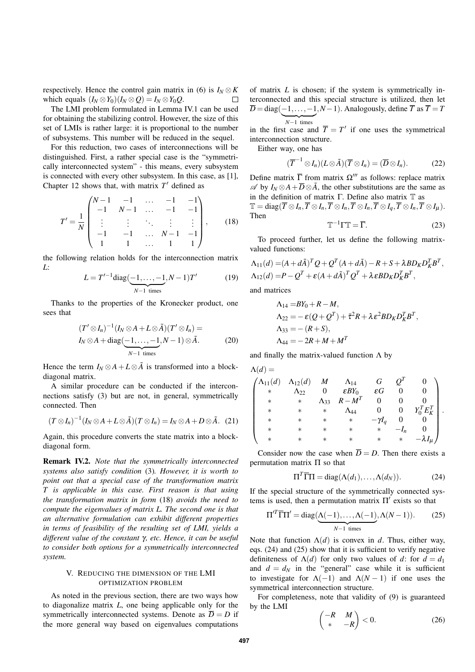respectively. Hence the control gain matrix in (6) is  $I_N \otimes K$ which equals  $(I_N \otimes Y_0)(I_N \otimes Q) = I_N \otimes Y_0Q$ .  $\Box$ 

The LMI problem formulated in Lemma IV.1 can be used for obtaining the stabilizing control. However, the size of this set of LMIs is rather large: it is proportional to the number of subsystems. This number will be reduced in the sequel.

For this reduction, two cases of interconnections will be distinguished. First, a rather special case is the "symmetrically interconnected system" - this means, every subsystem is connected with every other subsystem. In this case, as [1], Chapter 12 shows that, with matrix  $T'$  defined as

$$
T' = \frac{1}{N} \begin{pmatrix} N-1 & -1 & \dots & -1 & -1 \\ -1 & N-1 & \dots & -1 & -1 \\ \vdots & \vdots & \ddots & \vdots & \vdots \\ -1 & -1 & \dots & N-1 & -1 \\ 1 & 1 & \dots & 1 & 1 \end{pmatrix},
$$
 (18)

the following relation holds for the interconnection matrix *L*:

$$
L = T'^{-1} \text{diag}(\underbrace{-1, \dots, -1}_{N-1 \text{ times}}, N-1)T'
$$
 (19)

Thanks to the properties of the Kronecker product, one sees that

$$
(T' \otimes I_n)^{-1} (I_N \otimes A + L \otimes \tilde{A})(T' \otimes I_n) =
$$
  
\n
$$
I_N \otimes A + \text{diag}(\underbrace{-1, \dots, -1}_{N-1 \text{ times}}, N-1) \otimes \tilde{A}.
$$
 (20)

Hence the term  $I_N \otimes A + L \otimes \tilde{A}$  is transformed into a blockdiagonal matrix.

A similar procedure can be conducted if the interconnections satisfy (3) but are not, in general, symmetrically connected. Then

$$
(T\otimes I_n)^{-1}(I_N\otimes A+L\otimes \tilde{A})(T\otimes I_n)=I_N\otimes A+D\otimes \tilde{A}.
$$
 (21)

Again, this procedure converts the state matrix into a blockdiagonal form.

Remark IV.2. *Note that the symmetrically interconnected systems also satisfy condition* (3)*. However, it is worth to point out that a special case of the transformation matrix T is applicable in this case. First reason is that using the transformation matrix in form* (18) *avoids the need to compute the eigenvalues of matrix L. The second one is that an alternative formulation can exhibit different properties in terms of feasibility of the resulting set of LMI, yields a different value of the constant* γ*, etc. Hence, it can be useful to consider both options for a symmetrically interconnected system.*

# V. REDUCING THE DIMENSION OF THE LMI OPTIMIZATION PROBLEM

As noted in the previous section, there are two ways how to diagonalize matrix *L*, one being applicable only for the symmetrically interconnected systems. Denote as  $\overline{D} = D$  if the more general way based on eigenvalues computations

of matrix *L* is chosen; if the system is symmetrically interconnected and this special structure is utilized, then let  $\overline{D}$  = diag( $-1, \ldots, -1, N-1$ ). Analogously, define  $\overline{T}$  as  $\overline{T} = T$  $N-1$  times

in the first case and  $\overline{T} = T'$  if one uses the symmetrical interconnection structure.

Either way, one has

$$
(\overline{T}^{-1}\otimes I_n)(L\otimes \tilde{A})(\overline{T}\otimes I_n)=(\overline{D}\otimes I_n).
$$
 (22)

Define matrix  $\overline{\Gamma}$  from matrix  $\Omega'''$  as follows: replace matrix  $\mathscr A$  by  $I_N \otimes A + \overline{D} \otimes \tilde{A}$ , the other substitutions are the same as in the definition of matrix Γ. Define also matrix T as  $\mathbb{T} = \text{diag}(\overline{T} \otimes I_n, \overline{T} \otimes I_n, \overline{T} \otimes I_n, \overline{T} \otimes I_n, \overline{T} \otimes I_n, \overline{T} \otimes I_u).$ 

Then

 $\mathbb{T}^{-1}\Gamma \mathbb{T} = \overline{\Gamma}.$  (23)

To proceed further, let us define the following matrixvalued functions:

$$
\Lambda_{11}(d) = (A + d\tilde{A})^T Q + Q^T (A + d\tilde{A}) - R + S + \lambda B D_K D_K^T B^T,
$$
  
\n
$$
\Lambda_{12}(d) = P - Q^T + \varepsilon (A + d\tilde{A})^T Q^T + \lambda \varepsilon B D_K D_K^T B^T,
$$

and matrices

$$
\Lambda_{14} = BY_0 + R - M,
$$
  
\n
$$
\Lambda_{22} = -\varepsilon (Q + Q^T) + \overline{\tau}^2 R + \lambda \varepsilon^2 BD_K D_K^T B^T,
$$
  
\n
$$
\Lambda_{33} = -(R + S),
$$
  
\n
$$
\Lambda_{44} = -2R + M + M^T
$$

and finally the matrix-valued function  $\Lambda$  by

 $\Lambda(d) =$ 

| $\Lambda_{11}(d)$ | $\Lambda_{12}(d)$ | M              | $\Lambda_{14}$     |               |        |                          |  |
|-------------------|-------------------|----------------|--------------------|---------------|--------|--------------------------|--|
| $\ast$            | $\Lambda_{22}$    |                | $\varepsilon BY_0$ | $\epsilon G$  |        |                          |  |
| $\ast$            | $\ast$            | $\Lambda_{33}$ | $R - M^T$          |               |        |                          |  |
| $\ast$            | $^\ast$           |                | $\Lambda_{44}$     |               |        | $Y_0^T E_{\mathbf{k}}^T$ |  |
| $\ast$            |                   |                | $\ast$             | $-\gamma I_q$ |        |                          |  |
| $\ast$            |                   | $\ast$         | $\ast$             | $\ast$        |        |                          |  |
| $^\ast$           |                   |                | $^\ast$            | $\ast$        | $\ast$ | $-\lambda I_{\mu}$       |  |

Consider now the case when  $\overline{D} = D$ . Then there exists a permutation matrix Π so that

$$
\Pi^T \overline{\Gamma} \Pi = \text{diag}(\Lambda(d_1), \dots, \Lambda(d_N)). \tag{24}
$$

If the special structure of the symmetrically connected systems is used, then a permutation matrix  $\Pi'$  exists so that

$$
\Pi^{\prime T} \overline{\Gamma} \Pi^{\prime} = \text{diag}(\underbrace{\Lambda(-1), \dots, \Lambda(-1)}_{N-1 \text{ times}}, \Lambda(N-1)).
$$
 (25)

Note that function  $\Lambda(d)$  is convex in *d*. Thus, either way, eqs. (24) and (25) show that it is sufficient to verify negative definiteness of  $\Lambda(d)$  for only two values of *d*: for  $d = d_1$ and  $d = d_N$  in the "general" case while it is sufficient to investigate for  $\Lambda(-1)$  and  $\Lambda(N-1)$  if one uses the symmetrical interconnection structure.

For completeness, note that validity of (9) is guaranteed by the LMI

$$
\begin{pmatrix} -R & M \\ * & -R \end{pmatrix} < 0. \tag{26}
$$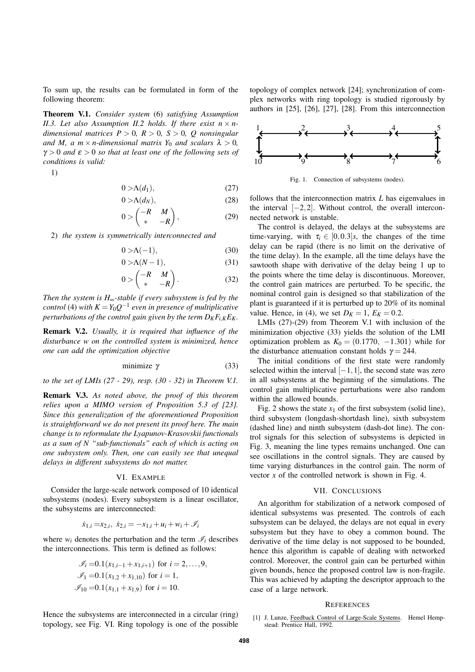To sum up, the results can be formulated in form of the following theorem:

Theorem V.1. *Consider system* (6) *satisfying Assumption II.3. Let also Assumption II.2 holds. If there exist*  $n \times n$ *dimensional matrices*  $P > 0$ ,  $R > 0$ ,  $S > 0$ , Q nonsingular *and M*, *a*  $m \times n$ -dimensional matrix  $Y_0$  *and scalars*  $\lambda > 0$ *,* γ > 0 *and* ε > 0 *so that at least one of the following sets of conditions is valid:*

1)

$$
0 > \Lambda(d_1), \tag{27}
$$

$$
0 > \Lambda(d_N), \tag{28}
$$

$$
0 > \begin{pmatrix} -R & M \\ * & -R \end{pmatrix}, \tag{29}
$$

2) *the system is symmetrically interconnected and*

$$
0 > \Lambda(-1), \tag{30}
$$

$$
0 > \Lambda(N-1), \tag{31}
$$

$$
0 > \begin{pmatrix} -R & M \\ * & -R \end{pmatrix} . \tag{32}
$$

*Then the system is H*∞*-stable if every subsystem is fed by the control* (4) *with*  $K = Y_0 Q^{-1}$  even in presence of multiplicative *perturbations of the control gain given by the term*  $D_K F_{i,K} E_K$ *.* 

Remark V.2. *Usually, it is required that influence of the disturbance w on the controlled system is minimized, hence one can add the optimization objective*

$$
minimize \t\gamma \t(33)
$$

*to the set of LMIs (27 - 29), resp. (30 - 32) in Theorem V.1.*

Remark V.3. *As noted above, the proof of this theorem relies upon a MIMO version of Proposition 5.3 of [23]. Since this generalization of the aforementioned Proposition is straightforward we do not present its proof here. The main change is to reformulate the Lyapunov-Krasovskii functionals as a sum of N "sub-functionals" each of which is acting on one subsystem only. Then, one can easily see that unequal delays in different subsystems do not matter.*

#### VI. EXAMPLE

Consider the large-scale network composed of 10 identical subsystems (nodes). Every subsystem is a linear oscillator, the subsystems are interconnected:

$$
\dot{x}_{1,i} = x_{2,i}, \ \dot{x}_{2,i} = -x_{1,i} + u_i + w_i + \mathcal{I}_i
$$

where  $w_i$  denotes the perturbation and the term  $\mathcal{I}_i$  describes the interconnections. This term is defined as follows:

$$
\mathcal{J}_i = 0.1(x_{1,i-1} + x_{1,i+1}) \text{ for } i = 2, ..., 9,
$$
  
\n
$$
\mathcal{J}_1 = 0.1(x_{1,2} + x_{1,10}) \text{ for } i = 1,
$$
  
\n
$$
\mathcal{J}_{10} = 0.1(x_{1,1} + x_{1,9}) \text{ for } i = 10.
$$

Hence the subsystems are interconnected in a circular (ring) topology, see Fig. VI. Ring topology is one of the possible

topology of complex network [24]; synchronization of complex networks with ring topology is studied rigorously by authors in [25], [26], [27], [28]. From this interconnection



Fig. 1. Connection of subsystems (nodes).

follows that the interconnection matrix *L* has eigenvalues in the interval  $[-2,2]$ . Without control, the overall interconnected network is unstable.

The control is delayed, the delays at the subsystems are time-varying, with  $\tau_i \in [0, 0.3]$ *s*, the changes of the time delay can be rapid (there is no limit on the derivative of the time delay). In the example, all the time delays have the sawtooth shape with derivative of the delay being 1 up to the points where the time delay is discontinuous. Moreover, the control gain matrices are perturbed. To be specific, the nominal control gain is designed so that stabilization of the plant is guaranteed if it is perturbed up to 20% of its nominal value. Hence, in (4), we set  $D_K = 1$ ,  $E_K = 0.2$ .

LMIs (27)-(29) from Theorem V.1 with inclusion of the minimization objective (33) yields the solution of the LMI optimization problem as  $K_0 = (0.1770, -1.301)$  while for the disturbance attenuation constant holds  $\gamma = 244$ .

The initial conditions of the first state were randomly selected within the interval  $[-1,1]$ , the second state was zero in all subsystems at the beginning of the simulations. The control gain multiplicative perturbations were also random within the allowed bounds.

Fig. 2 shows the state  $x_1$  of the first subsystem (solid line), third subsystem (longdash-shortdash line), sixth subsystem (dashed line) and ninth subsystem (dash-dot line). The control signals for this selection of subsystems is depicted in Fig. 3, meaning the line types remains unchanged. One can see oscillations in the control signals. They are caused by time varying disturbances in the control gain. The norm of vector *x* of the controlled network is shown in Fig. 4.

#### VII. CONCLUSIONS

An algorithm for stabilization of a network composed of identical subsystems was presented. The controls of each subsystem can be delayed, the delays are not equal in every subsystem but they have to obey a common bound. The derivative of the time delay is not supposed to be bounded, hence this algorithm is capable of dealing with networked control. Moreover, the control gain can be perturbed within given bounds, hence the proposed control law is non-fragile. This was achieved by adapting the descriptor approach to the case of a large network.

#### **REFERENCES**

<sup>[1]</sup> J. Lunze, Feedback Control of Large-Scale Systems. Hemel Hempstead: Prentice Hall, 1992.